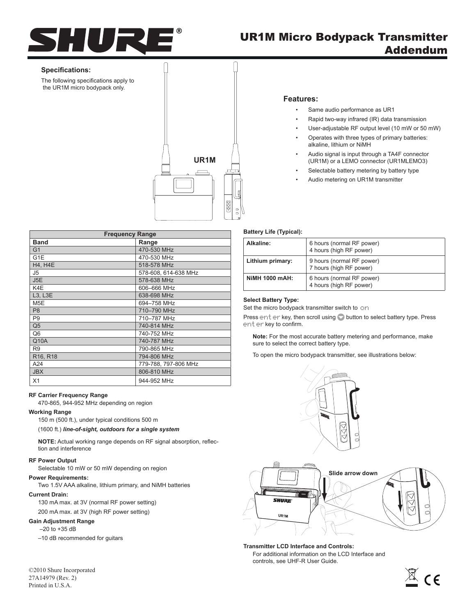

# UR1M Micro Bodypack Transmitter Addendum

### **Specifications:**

The following specifications apply to the UR1M micro bodypack only.



## **Features:**

- • Same audio performance as UR1
- Rapid two-way infrared (IR) data transmission
- User-adjustable RF output level (10 mW or 50 mW)
- Operates with three types of primary batteries: alkaline, lithium or NiMH
- Audio signal is input through a TA4F connector (UR1M) or a LEMO connector (UR1MLEMO3)
- Selectable battery metering by battery type
- Audio metering on UR1M transmitter

| <b>Frequency Range</b>            |                      |  |
|-----------------------------------|----------------------|--|
| <b>Band</b>                       | Range                |  |
| G <sub>1</sub>                    | 470-530 MHz          |  |
| G1E                               | 470-530 MHz          |  |
| <b>H4, H4E</b>                    | 518-578 MHz          |  |
| J <sub>5</sub>                    | 578-608, 614-638 MHz |  |
| J5E                               | 578-638 MHz          |  |
| K4E                               | 606-666 MHz          |  |
| L3, L3E                           | 638-698 MHz          |  |
| M <sub>5</sub> E                  | 694-758 MHz          |  |
| P <sub>8</sub>                    | 710-790 MHz          |  |
| P <sub>9</sub>                    | 710-787 MHz          |  |
| Q <sub>5</sub>                    | 740-814 MHz          |  |
| Q <sub>6</sub>                    | 740-752 MHz          |  |
| Q10A                              | 740-787 MHz          |  |
| R <sub>9</sub>                    | 790-865 MHz          |  |
| R <sub>16</sub> , R <sub>18</sub> | 794-806 MHz          |  |
| A24                               | 779-788, 797-806 MHz |  |
| <b>JBX</b>                        | 806-810 MHz          |  |
| X1                                | 944-952 MHz          |  |

# **RF Carrier Frequency Range**

470-865, 944-952 MHz depending on region

#### **Working Range**

150 m (500 ft.), under typical conditions 500 m

(1600 ft.) *line-of-sight, outdoors for a single system*

**NOTE:** Actual working range depends on RF signal absorption, reflection and interference

#### **RF Power Output**

Selectable 10 mW or 50 mW depending on region

#### **Power Requirements:**

Two 1.5V AAA alkaline, lithium primary, and NiMH batteries

#### **Current Drain:**

130 mA max. at 3V (normal RF power setting)

200 mA max. at 3V (high RF power setting)

# **Gain Adjustment Range**

 $-20$  to  $+35$  dB

–10 dB recommended for guitars

©2010 Shure Incorporated 27A14979 (Rev. 2) Printed in U.S.A.

# **Battery Life (Typical):**

| Alkaline:             | 6 hours (normal RF power)<br>4 hours (high RF power) |
|-----------------------|------------------------------------------------------|
| Lithium primary:      | 9 hours (normal RF power)<br>7 hours (high RF power) |
| <b>NIMH 1000 mAH:</b> | 6 hours (normal RF power)<br>4 hours (high RF power) |

#### **Select Battery Type:**

Set the micro bodypack transmitter switch to on

Press enter key, then scroll using button to select battery type. Press enter key to confirm.

**Note:** For the most accurate battery metering and performance, make sure to select the correct battery type.

To open the micro bodypack transmitter, see illustrations below:





**Transmitter LCD Interface and Controls:** For additional information on the LCD Interface and controls, see UHF-R User Guide.